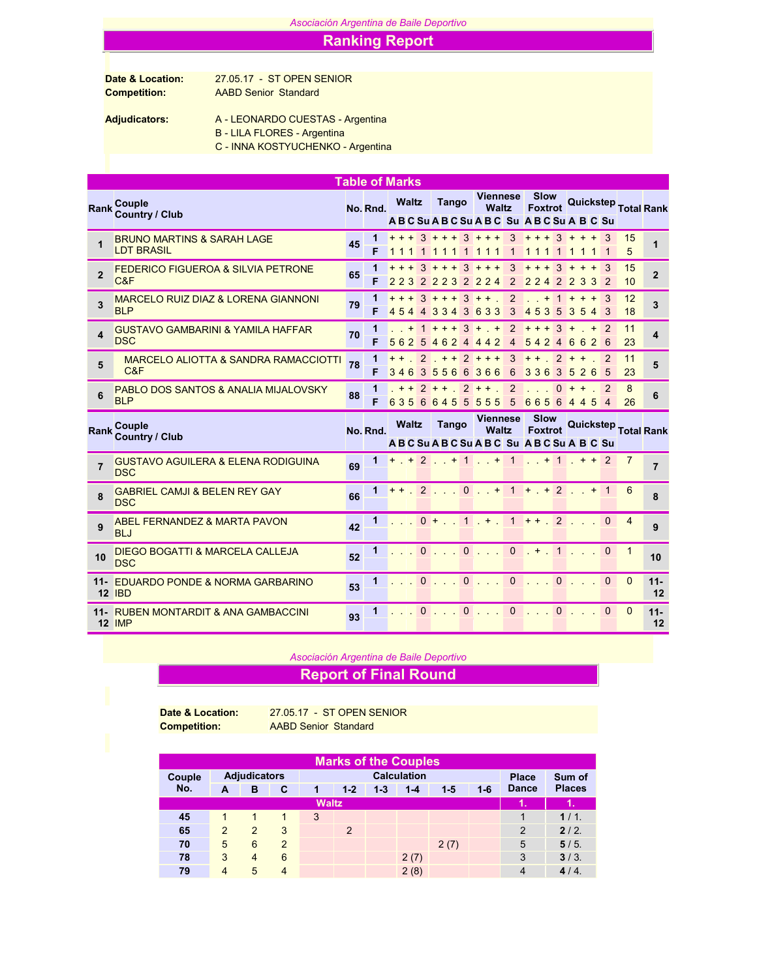## *Asociación Argentina de Baile Deportivo*

## Ranking Report

Competition: AABD Senior Standard

Date & Location: 27.05.17 - ST OPEN SENIOR

Adjudicators: A - LEONARDO CUESTAS - Argentina

- B LILA FLORES Argentina
- C INNA KOSTYUCHENKO Argentina

|                |                                                              |    |          | <b>Table of Marks</b> |          |                          |              |                                                 |                     |                               |                   |                  |                             |                     |                      |                |
|----------------|--------------------------------------------------------------|----|----------|-----------------------|----------|--------------------------|--------------|-------------------------------------------------|---------------------|-------------------------------|-------------------|------------------|-----------------------------|---------------------|----------------------|----------------|
| <b>Rank</b>    | Couple<br><b>Country / Club</b>                              |    | No. Rnd. | <b>Waltz</b>          |          | <b>Tango</b>             |              | Viennese<br>Waltz<br>ABCSuABCSuABC SuABCSuABCSu |                     | Slow<br>Foxtrot               |                   |                  |                             |                     | Quickstep Total Rank |                |
| $\overline{1}$ | <b>BRUNO MARTINS &amp; SARAH LAGE</b><br><b>LDT BRASIL</b>   | 45 | 1<br>F   |                       |          |                          |              | $+++3$ + + + 3 + + +<br>111                     | 3                   | $+++3$ + + + 3<br>111         | -1                |                  | 1 1 1                       |                     | 15<br>5              |                |
| $\mathbf{2}$   | <b>FEDERICO FIGUEROA &amp; SILVIA PETRONE</b><br>C&F         | 65 | 1<br>F   | 2232                  |          |                          |              | $+++3$ + + + 3 + + +<br>2232224                 | 3<br>2              | $+ + +$<br>224                | $3 +$<br>2        | 2                | $+$<br>$+3$<br>3<br>3       | $\overline{2}$      | 15<br>10             | $\overline{2}$ |
| 3              | <b>MARCELO RUIZ DIAZ &amp; LORENA GIANNONI</b><br><b>BLP</b> | 79 | 1<br>F   |                       |          | $+++3$ + + +             |              | $3 + +$ .<br>454 4334 3633                      | 2<br>3              | $+$<br>453                    | $\mathbf{1}$<br>5 | $+$              | $+$<br>3543                 | $+3$                | 12<br>18             | 3              |
| 4              | <b>GUSTAVO GAMBARINI &amp; YAMILA HAFFAR</b><br><b>DSC</b>   | 70 |          |                       |          |                          |              | $+ 1 + + + 3 + +$<br>56254624442                | 2<br>$\overline{4}$ | $+ + +$<br>5424               | $3 +$             |                  | 6626                        | $+2$                | 11<br>23             | 4              |
| 5              | <b>MARCELO ALIOTTA &amp; SANDRA RAMACCIOTTI</b><br>C&F       | 78 | 1<br>F   |                       |          | 3463556                  | 6            | $+ +$ 2 + + 2 + + +<br>366                      | 3<br>6              | $+ +$<br>336                  | $2 +$<br>3        | $+$<br>5         | 26                          | 2<br>- 5            | 11<br>23             | 5              |
| 6              | PABLO DOS SANTOS & ANALIA MIJALOVSKY<br><b>BLP</b>           | 88 | 1<br>F   | 6356                  |          | $+ + 2 + +$<br>6455      |              | $2 + +$<br>555                                  | $\overline{2}$<br>5 | 665                           | $\Omega$<br>6     | $\boldsymbol{4}$ | $+$<br>$5\overline{)}$<br>4 | 2<br>$\overline{4}$ | 8<br>26              | 6              |
|                |                                                              |    |          |                       |          |                          |              |                                                 |                     |                               |                   |                  |                             |                     |                      |                |
| <b>Rank</b>    | Couple<br>Country / Club                                     |    | No. Rnd. | <b>Waltz</b>          |          | <b>Tango</b>             |              | Viennese<br>Waltz<br>ABCSuABCSuABC SuABCSuABCSu |                     | <b>Slow</b><br><b>Foxtrot</b> |                   |                  |                             |                     | Quickstep Total Rank |                |
| $\overline{7}$ | <b>GUSTAVO AGUILERA &amp; ELENA RODIGUINA</b><br><b>DSC</b>  | 69 | 1        |                       |          |                          |              | $+$ $+$ 2 $+$ 1 $+$ 1                           |                     | $\cdot$ + 1 + + 2             |                   |                  |                             |                     | $\overline{7}$       | $\overline{7}$ |
| 8              | <b>GABRIEL CAMJI &amp; BELEN REY GAY</b><br><b>DSC</b>       | 66 | 1        | $+ +$ .               |          |                          |              | $2$ 0 + 1 + + 2 + 1                             |                     |                               |                   |                  |                             |                     | 6                    | 8              |
| 9              | <b>ABEL FERNANDEZ &amp; MARTA PAVON</b><br><b>BLJ</b>        | 42 | 1        |                       |          | $0 +$<br><b>Contract</b> |              | $1 + 1$                                         | 1                   | $++$ 2                        |                   |                  |                             | $\Omega$            | $\overline{4}$       | 9              |
| 10             | <b>DIEGO BOGATTI &amp; MARCELA CALLEJA</b><br><b>DSC</b>     | 52 | 1        |                       | $\Omega$ |                          | $\mathbf{0}$ | and a                                           |                     | $0 + 1$                       |                   |                  |                             | $\Omega$            | 1                    | 10             |
|                | 11- EDUARDO PONDE & NORMA GARBARINO<br><b>12 IBD</b>         | 53 | 1        |                       | $\Omega$ |                          |              | 1.70.71                                         |                     | $0 \ldots$                    | $\mathbf{0}$      |                  |                             | $\Omega$            | $\mathbf{0}$         | $11 -$<br>12   |

*Asociación Argentina de Baile Deportivo*

## Report of Final Round

Date & Location: 27.05.17 - ST OPEN SENIOR Competition: AABD Senior Standard

|        |                     |                |                |              |         |              | <b>Marks of the Couples</b> |       |         |                |               |
|--------|---------------------|----------------|----------------|--------------|---------|--------------|-----------------------------|-------|---------|----------------|---------------|
| Couple | <b>Adjudicators</b> |                |                |              |         | <b>Place</b> | Sum of                      |       |         |                |               |
| No.    | A                   | в              | C              |              | $1 - 2$ | $1 - 3$      | $1 - 4$                     | $1-5$ | $1 - 6$ | <b>Dance</b>   | <b>Places</b> |
|        |                     |                |                | <b>Waltz</b> |         |              |                             |       |         | YR.            | 1.            |
| 45     |                     |                |                | 3            |         |              |                             |       |         |                | 1/1.          |
| 65     | 2                   | $\mathcal{P}$  | 3              |              | 2       |              |                             |       |         | $\overline{2}$ | 2/2.          |
| 70     | 5                   | 6              | $\overline{2}$ |              |         |              |                             | 2(7)  |         | 5              | 5/5.          |
| 78     | 3                   | $\overline{4}$ | 6              |              |         |              | 2(7)                        |       |         | 3              | 3/3.          |
| 79     | $\overline{4}$      | 5              | 4              |              |         |              | 2(8)                        |       |         | 4              | 4/4.          |